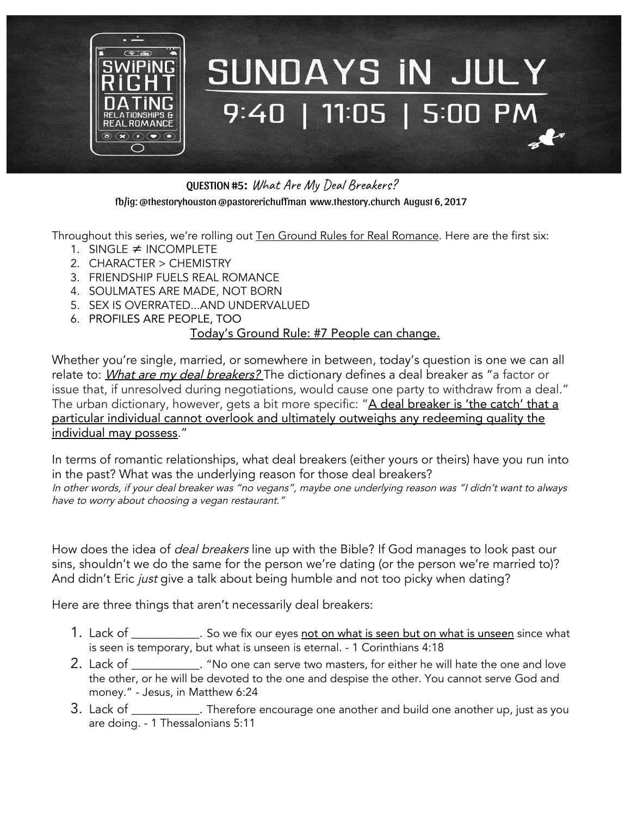

QUESTION #5: What Are My Deal Breakers? fb/ig: @thestoryhouston @pastorerichuffman [www.thestory.church](http://www.thestory.church/) August 6, 2017

Throughout this series, we're rolling out Ten Ground Rules for Real Romance. Here are the first six:

- 1. SINGLE ≠ INCOMPLETE
- 2. CHARACTER > CHEMISTRY
- 3. FRIENDSHIP FUELS REAL ROMANCE
- 4. SOULMATES ARE MADE, NOT BORN
- 5. SEX IS OVERRATED...AND UNDERVALUED
- 6. PROFILES ARE PEOPLE, TOO

## Today's Ground Rule: #7 People can change.

Whether you're single, married, or somewhere in between, today's question is one we can all relate to: What are my deal breakers? The dictionary defines a deal breaker as "a factor or issue that, if unresolved during negotiations, would cause one party to withdraw from a deal." The urban dictionary, however, gets a bit more specific: "A deal breaker is 'the catch' that a particular individual cannot overlook and ultimately outweighs any redeeming quality the individual may possess."

In terms of romantic relationships, what deal breakers (either yours or theirs) have you run into in the past? What was the underlying reason for those deal breakers? In other words, if your deal breaker was "no vegans", maybe one underlying reason was "I didn't want to always have to worry about choosing <sup>a</sup> vegan restaurant."

How does the idea of *deal breakers* line up with the Bible? If God manages to look past our sins, shouldn't we do the same for the person we're dating (or the person we're married to)? And didn't Eric just give a talk about being humble and not too picky when dating?

Here are three things that aren't necessarily deal breakers:

- 1. Lack of \_\_\_\_\_\_\_\_\_\_\_\_. So we fix our eyes <u>not on what is seen but on what is unseen</u> since what is seen is temporary, but what is unseen is eternal. - 1 Corinthians 4:18
- 2. Lack of \_\_\_\_\_\_\_\_\_\_\_\_. "No one can serve two masters, for either he will hate the one and love the other, or he will be devoted to the one and despise the other. You cannot serve God and money." - Jesus, in Matthew 6:24
- 3. Lack of Therefore encourage one another and build one another up, just as you are doing. - 1 Thessalonians 5:11